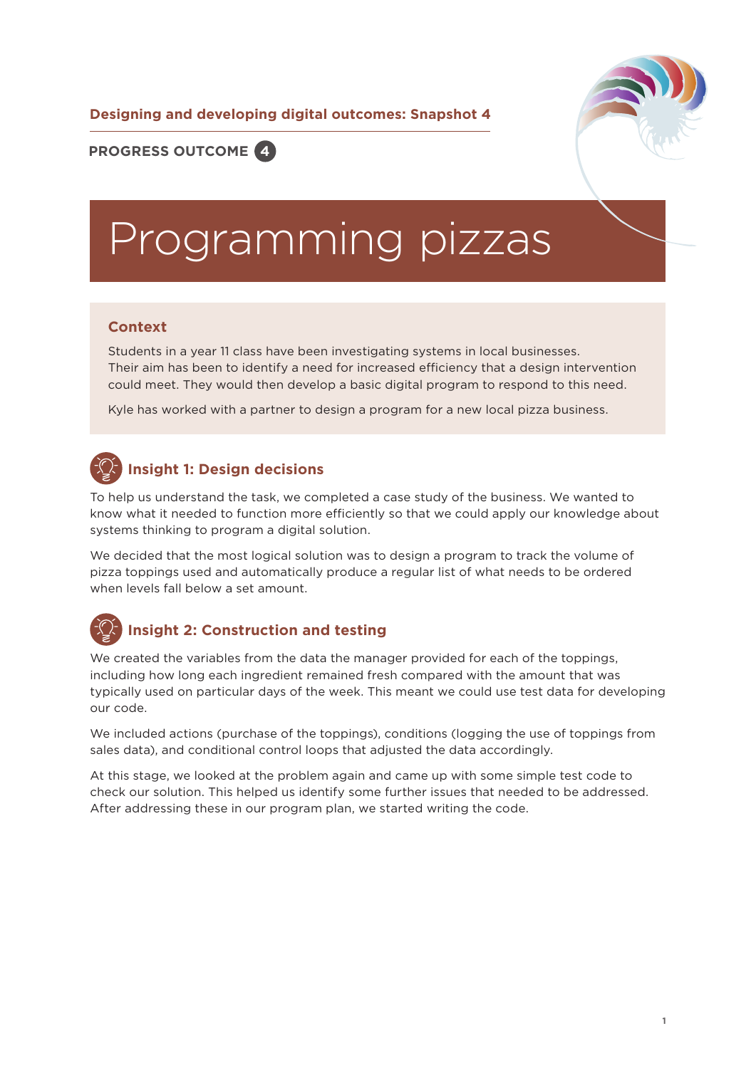**Designing and developing digital outcomes: Snapshot 4**



**PROGRESS OUTCOME 4**

# Programming pizzas

#### **Context**

Students in a year 11 class have been investigating systems in local businesses. Their aim has been to identify a need for increased efficiency that a design intervention could meet. They would then develop a basic digital program to respond to this need.

Kyle has worked with a partner to design a program for a new local pizza business.

### **Insight 1: Design decisions**

To help us understand the task, we completed a case study of the business. We wanted to know what it needed to function more efficiently so that we could apply our knowledge about systems thinking to program a digital solution.

We decided that the most logical solution was to design a program to track the volume of pizza toppings used and automatically produce a regular list of what needs to be ordered when levels fall below a set amount.

## **Insight 2: Construction and testing**

We created the variables from the data the manager provided for each of the toppings, including how long each ingredient remained fresh compared with the amount that was typically used on particular days of the week. This meant we could use test data for developing our code.

We included actions (purchase of the toppings), conditions (logging the use of toppings from sales data), and conditional control loops that adjusted the data accordingly.

At this stage, we looked at the problem again and came up with some simple test code to check our solution. This helped us identify some further issues that needed to be addressed. After addressing these in our program plan, we started writing the code.